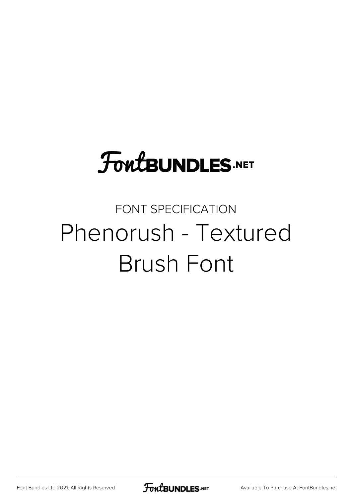## **FoutBUNDLES.NET**

## FONT SPECIFICATION Phenorush - Textured Brush Font

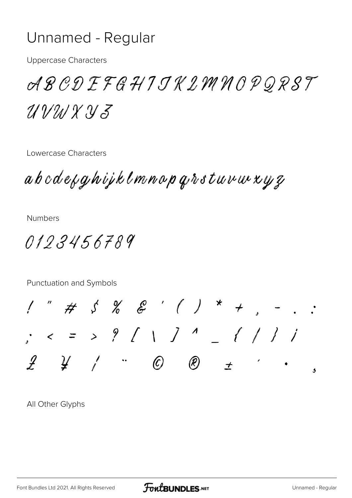## Unnamed - Regular

**Uppercase Characters** 

ABCDEFGHIJKLMNOPORST  $UVMXXJZ$ 

Lowercase Characters

abcdefghijklmnop grstuvur xyz

**Numbers** 

0123456789



All Other Glyphs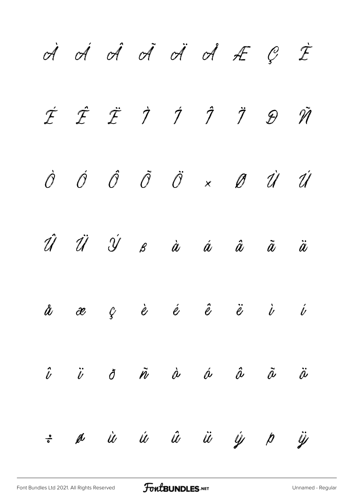